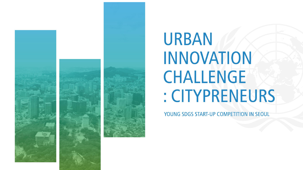



# **URBAN INNOVATION CHALLENGE** : CITYPRENEURS

YOUNG SDGS START-UP COMPETITION IN SEOUL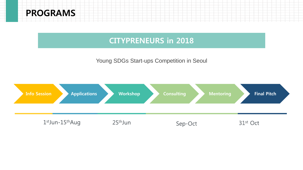## PROGRAMS

## CITYPRENEURS in 2018

#### Young SDGs Start-ups Competition in Seoul

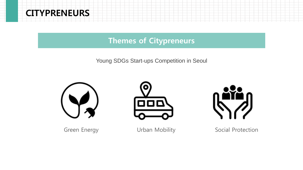

## Themes of Citypreneurs

Young SDGs Start-ups Competition in Seoul







Green Energy **Social Protection** Urban Mobility Social Protection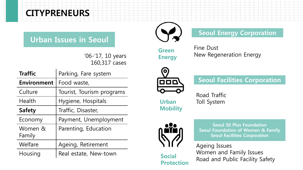# CITYPRENEURS

## Urban Issues in Seoul

'06-'17, 10 years 160,317 cases

| <b>Traffic</b>     | Parking, Fare system      |
|--------------------|---------------------------|
| <b>Environment</b> | Food waste,               |
| Culture            | Tourist, Tourism programs |
| Health             | Hygiene, Hospitals        |
| <b>Safety</b>      | Traffic, Disaster,        |
| Economy            | Payment, Unemployment     |
| Women &<br>Family  | Parenting, Education      |
| Welfare            | Ageing, Retirement        |
| Housing            | Real estate, New-town     |



## Seoul Energy Corporation

Green **Energy**  Fine Dust New Regeneration Energy



Seoul Facilities Corporation

Urban **Mobility**  Road Traffic Toll System



Social

Protection

Seoul 50 Plus Foundation Seoul Foundation of Women & Family Seoul Facilities Corporation

Ageing Issues Women and Family Issues Road and Public Facility Safety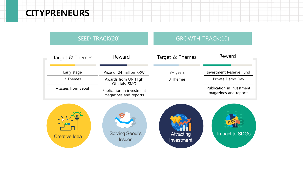## CITYPRENEURS



**Solving Seoul's** Impact to SDGs Attracting **Creative Idea Issues** Investment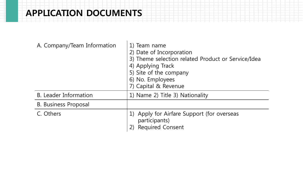# APPLICATION DOCUMENTS

| A. Company/Team Information | 1) Team name<br>2) Date of Incorporation<br>3) Theme selection related Product or Service/Idea<br>4) Applying Track<br>5) Site of the company<br>6) No. Employees<br>7) Capital & Revenue |
|-----------------------------|-------------------------------------------------------------------------------------------------------------------------------------------------------------------------------------------|
| B. Leader Information       | 1) Name 2) Title 3) Nationality                                                                                                                                                           |
| <b>B. Business Proposal</b> |                                                                                                                                                                                           |
| C. Others                   | Apply for Airfare Support (for overseas<br>participants)<br><b>Required Consent</b>                                                                                                       |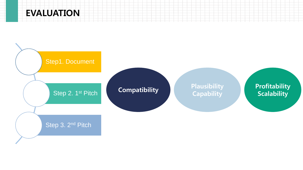# EVALUATION

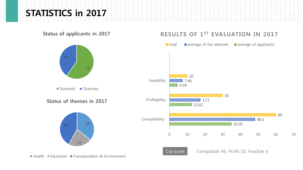## STATISTICS in 2017

Status of applicants in 2017





#### RESULTS OF 1ST EVALUATION IN 2017



 $\blacksquare$  Health  $\blacksquare$  Education  $\blacksquare$  Transportation & Environment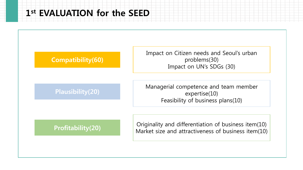# 1 st EVALUATION for the SEED

## Compatibility(60)

Plausibility(20)

Impact on Citizen needs and Seoul's urban problems(30) Impact on UN's SDGs (30)

Managerial competence and team member expertise(10) Feasibility of business plans(10)

#### Profitability(20)

Originality and differentiation of business item(10) Market size and attractiveness of business item(10)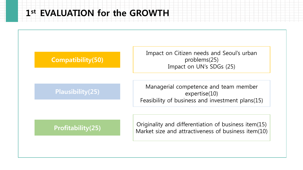# 1 st EVALUATION for the GROWTH

## Compatibility(50)

Plausibility(25)

Impact on Citizen needs and Seoul's urban problems(25) Impact on UN's SDGs (25)

Managerial competence and team member expertise(10) Feasibility of business and investment plans(15)

#### Profitability(25)

Originality and differentiation of business item(15) Market size and attractiveness of business item(10)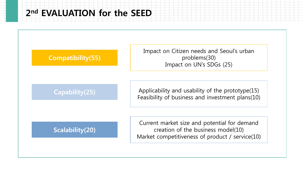# 2 nd EVALUATION for the SEED

## Compatibility(55)

Capability(25)

Applicability and usability of the prototype(15) Feasibility of business and investment plans(10)

Impact on Citizen needs and Seoul's urban

problems(30)

Impact on UN's SDGs (25)

## Scalability(20)

Current market size and potential for demand creation of the business model(10) Market competitiveness of product / service(10)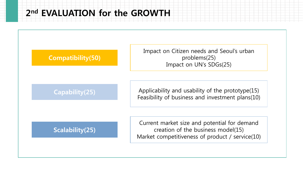# 2 nd EVALUATION for the GROWTH

#### Compatibility(50)

Impact on Citizen needs and Seoul's urban problems(25) Impact on UN's SDGs(25)

Capability(25)

Applicability and usability of the prototype(15) Feasibility of business and investment plans(10)

## Scalability(25)

Current market size and potential for demand creation of the business model(15) Market competitiveness of product / service(10)